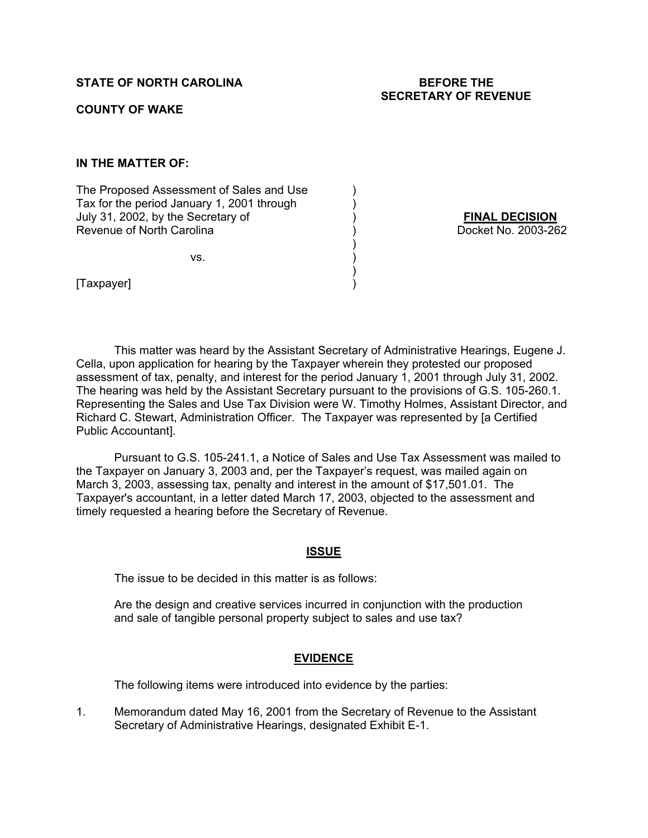# **STATE OF NORTH CAROLINA BEFORE THE**

# **SECRETARY OF REVENUE**

#### **COUNTY OF WAKE**

# **IN THE MATTER OF:**

The Proposed Assessment of Sales and Use ) Tax for the period January 1, 2001 through ) July 31, 2002, by the Secretary of ) **FINAL DECISION** Revenue of North Carolina (a) (b) (b) Docket No. 2003-262

 $\mathsf{VS}.$ 

 $)$ 

 $)$ 

[Taxpayer] )

 This matter was heard by the Assistant Secretary of Administrative Hearings, Eugene J. Cella, upon application for hearing by the Taxpayer wherein they protested our proposed assessment of tax, penalty, and interest for the period January 1, 2001 through July 31, 2002. The hearing was held by the Assistant Secretary pursuant to the provisions of G.S. 105-260.1. Representing the Sales and Use Tax Division were W. Timothy Holmes, Assistant Director, and Richard C. Stewart, Administration Officer. The Taxpayer was represented by [a Certified Public Accountant].

Pursuant to G.S. 105-241.1, a Notice of Sales and Use Tax Assessment was mailed to the Taxpayer on January 3, 2003 and, per the Taxpayer's request, was mailed again on March 3, 2003, assessing tax, penalty and interest in the amount of \$17,501.01. The Taxpayer's accountant, in a letter dated March 17, 2003, objected to the assessment and timely requested a hearing before the Secretary of Revenue.

#### **ISSUE**

The issue to be decided in this matter is as follows:

Are the design and creative services incurred in conjunction with the production and sale of tangible personal property subject to sales and use tax?

#### **EVIDENCE**

The following items were introduced into evidence by the parties:

1. Memorandum dated May 16, 2001 from the Secretary of Revenue to the Assistant Secretary of Administrative Hearings, designated Exhibit E-1.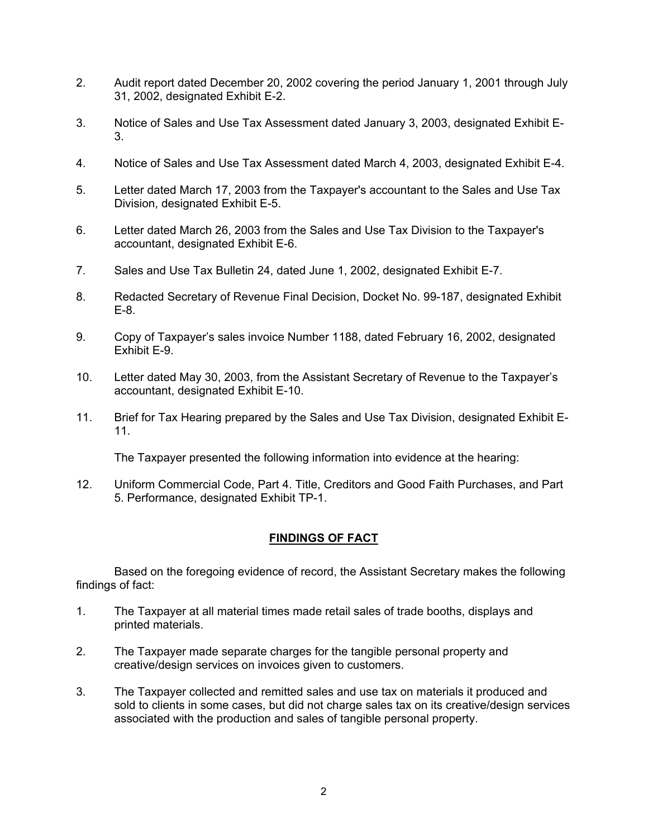- 2. Audit report dated December 20, 2002 covering the period January 1, 2001 through July 31, 2002, designated Exhibit E-2.
- 3. Notice of Sales and Use Tax Assessment dated January 3, 2003, designated Exhibit E-3.
- 4. Notice of Sales and Use Tax Assessment dated March 4, 2003, designated Exhibit E-4.
- 5. Letter dated March 17, 2003 from the Taxpayer's accountant to the Sales and Use Tax Division, designated Exhibit E-5.
- 6. Letter dated March 26, 2003 from the Sales and Use Tax Division to the Taxpayer's accountant, designated Exhibit E-6.
- 7. Sales and Use Tax Bulletin 24, dated June 1, 2002, designated Exhibit E-7.
- 8. Redacted Secretary of Revenue Final Decision, Docket No. 99-187, designated Exhibit E-8.
- 9. Copy of Taxpayer's sales invoice Number 1188, dated February 16, 2002, designated Exhibit E-9.
- 10. Letter dated May 30, 2003, from the Assistant Secretary of Revenue to the Taxpayer's accountant, designated Exhibit E-10.
- 11. Brief for Tax Hearing prepared by the Sales and Use Tax Division, designated Exhibit E-11.

The Taxpayer presented the following information into evidence at the hearing:

12. Uniform Commercial Code, Part 4. Title, Creditors and Good Faith Purchases, and Part 5. Performance, designated Exhibit TP-1.

## **FINDINGS OF FACT**

Based on the foregoing evidence of record, the Assistant Secretary makes the following findings of fact:

- 1. The Taxpayer at all material times made retail sales of trade booths, displays and printed materials.
- 2. The Taxpayer made separate charges for the tangible personal property and creative/design services on invoices given to customers.
- 3. The Taxpayer collected and remitted sales and use tax on materials it produced and sold to clients in some cases, but did not charge sales tax on its creative/design services associated with the production and sales of tangible personal property.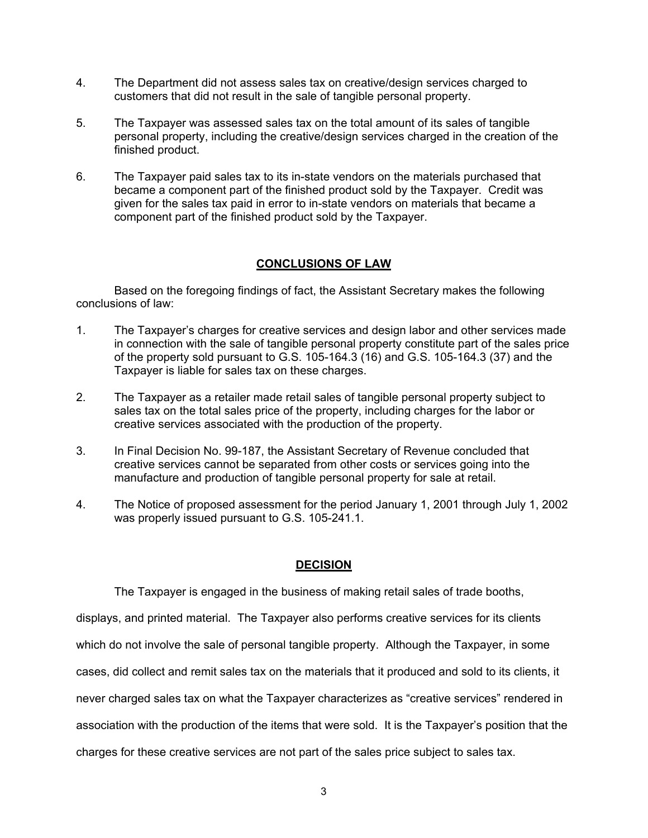- 4. The Department did not assess sales tax on creative/design services charged to customers that did not result in the sale of tangible personal property.
- 5. The Taxpayer was assessed sales tax on the total amount of its sales of tangible personal property, including the creative/design services charged in the creation of the finished product.
- 6. The Taxpayer paid sales tax to its in-state vendors on the materials purchased that became a component part of the finished product sold by the Taxpayer. Credit was given for the sales tax paid in error to in-state vendors on materials that became a component part of the finished product sold by the Taxpayer.

#### **CONCLUSIONS OF LAW**

Based on the foregoing findings of fact, the Assistant Secretary makes the following conclusions of law:

- 1. The Taxpayer's charges for creative services and design labor and other services made in connection with the sale of tangible personal property constitute part of the sales price of the property sold pursuant to G.S. 105-164.3 (16) and G.S. 105-164.3 (37) and the Taxpayer is liable for sales tax on these charges.
- 2. The Taxpayer as a retailer made retail sales of tangible personal property subject to sales tax on the total sales price of the property, including charges for the labor or creative services associated with the production of the property.
- 3. In Final Decision No. 99-187, the Assistant Secretary of Revenue concluded that creative services cannot be separated from other costs or services going into the manufacture and production of tangible personal property for sale at retail.
- 4. The Notice of proposed assessment for the period January 1, 2001 through July 1, 2002 was properly issued pursuant to G.S. 105-241.1.

## **DECISION**

The Taxpayer is engaged in the business of making retail sales of trade booths, displays, and printed material. The Taxpayer also performs creative services for its clients which do not involve the sale of personal tangible property. Although the Taxpayer, in some cases, did collect and remit sales tax on the materials that it produced and sold to its clients, it never charged sales tax on what the Taxpayer characterizes as "creative services" rendered in association with the production of the items that were sold. It is the Taxpayer's position that the charges for these creative services are not part of the sales price subject to sales tax.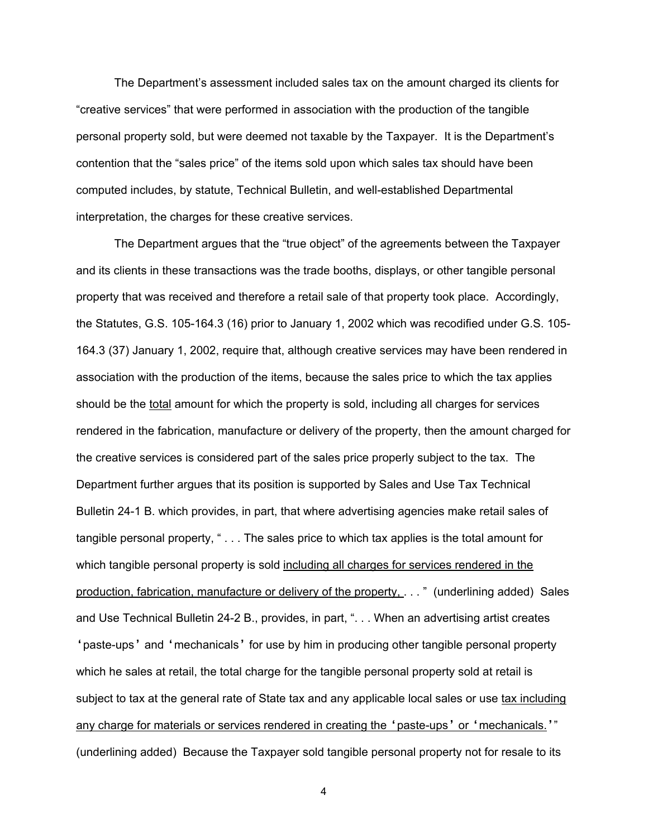The Department's assessment included sales tax on the amount charged its clients for "creative services" that were performed in association with the production of the tangible personal property sold, but were deemed not taxable by the Taxpayer. It is the Department's contention that the "sales price" of the items sold upon which sales tax should have been computed includes, by statute, Technical Bulletin, and well-established Departmental interpretation, the charges for these creative services.

The Department argues that the "true object" of the agreements between the Taxpayer and its clients in these transactions was the trade booths, displays, or other tangible personal property that was received and therefore a retail sale of that property took place. Accordingly, the Statutes, G.S. 105-164.3 (16) prior to January 1, 2002 which was recodified under G.S. 105- 164.3 (37) January 1, 2002, require that, although creative services may have been rendered in association with the production of the items, because the sales price to which the tax applies should be the total amount for which the property is sold, including all charges for services rendered in the fabrication, manufacture or delivery of the property, then the amount charged for the creative services is considered part of the sales price properly subject to the tax. The Department further argues that its position is supported by Sales and Use Tax Technical Bulletin 24-1 B. which provides, in part, that where advertising agencies make retail sales of tangible personal property, " . . . The sales price to which tax applies is the total amount for which tangible personal property is sold including all charges for services rendered in the production, fabrication, manufacture or delivery of the property, . . . " (underlining added) Sales and Use Technical Bulletin 24-2 B., provides, in part, ". . . When an advertising artist creates 'paste-ups' and 'mechanicals' for use by him in producing other tangible personal property which he sales at retail, the total charge for the tangible personal property sold at retail is subject to tax at the general rate of State tax and any applicable local sales or use tax including any charge for materials or services rendered in creating the 'paste-ups' or 'mechanicals.'" (underlining added) Because the Taxpayer sold tangible personal property not for resale to its

4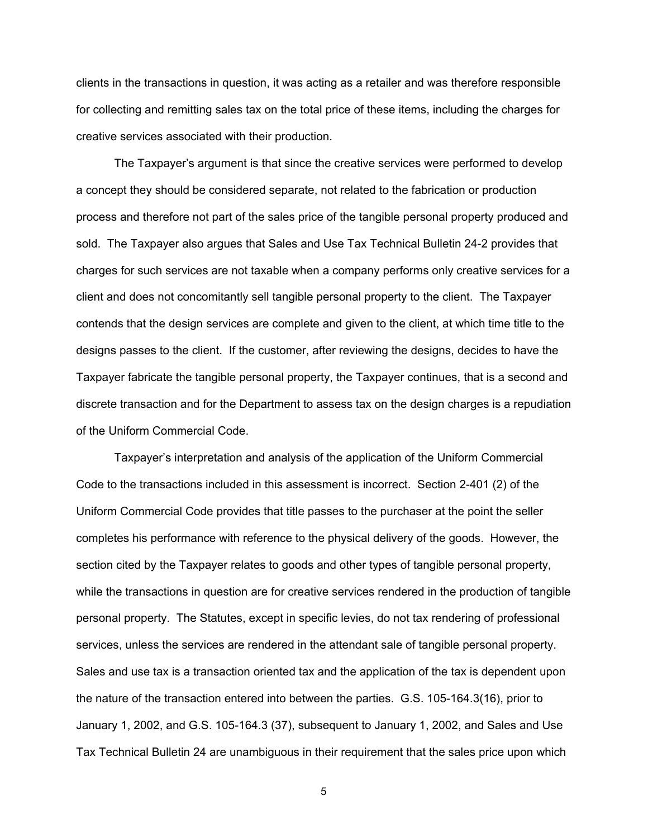clients in the transactions in question, it was acting as a retailer and was therefore responsible for collecting and remitting sales tax on the total price of these items, including the charges for creative services associated with their production.

The Taxpayer's argument is that since the creative services were performed to develop a concept they should be considered separate, not related to the fabrication or production process and therefore not part of the sales price of the tangible personal property produced and sold. The Taxpayer also argues that Sales and Use Tax Technical Bulletin 24-2 provides that charges for such services are not taxable when a company performs only creative services for a client and does not concomitantly sell tangible personal property to the client. The Taxpayer contends that the design services are complete and given to the client, at which time title to the designs passes to the client. If the customer, after reviewing the designs, decides to have the Taxpayer fabricate the tangible personal property, the Taxpayer continues, that is a second and discrete transaction and for the Department to assess tax on the design charges is a repudiation of the Uniform Commercial Code.

Taxpayer's interpretation and analysis of the application of the Uniform Commercial Code to the transactions included in this assessment is incorrect. Section 2-401 (2) of the Uniform Commercial Code provides that title passes to the purchaser at the point the seller completes his performance with reference to the physical delivery of the goods. However, the section cited by the Taxpayer relates to goods and other types of tangible personal property, while the transactions in question are for creative services rendered in the production of tangible personal property. The Statutes, except in specific levies, do not tax rendering of professional services, unless the services are rendered in the attendant sale of tangible personal property. Sales and use tax is a transaction oriented tax and the application of the tax is dependent upon the nature of the transaction entered into between the parties. G.S. 105-164.3(16), prior to January 1, 2002, and G.S. 105-164.3 (37), subsequent to January 1, 2002, and Sales and Use Tax Technical Bulletin 24 are unambiguous in their requirement that the sales price upon which

5